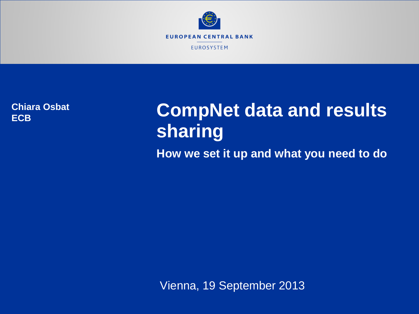

**Chiara Osbat ECB**

# **CompNet data and results sharing**

**How we set it up and what you need to do**

Vienna, 19 September 2013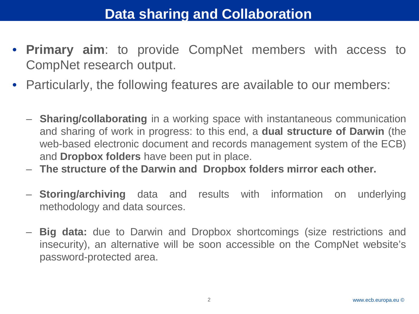## **Data sharing and Collaboration**

- **Primary aim**: to provide CompNet members with access to CompNet research output.
- Particularly, the following features are available to our members:
	- **Sharing/collaborating** in a working space with instantaneous communication and sharing of work in progress: to this end, a **dual structure of Darwin** (the web-based electronic document and records management system of the ECB) and **Dropbox folders** have been put in place.
	- **The structure of the Darwin and Dropbox folders mirror each other.**
	- **Storing/archiving** data and results with information on underlying methodology and data sources.
	- **Big data:** due to Darwin and Dropbox shortcomings (size restrictions and insecurity), an alternative will be soon accessible on the CompNet website's password-protected area.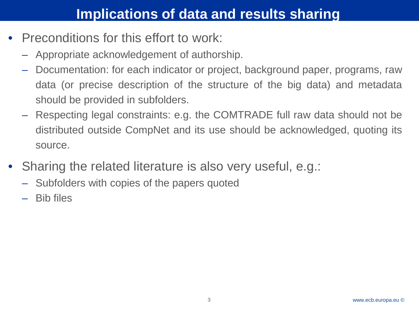### **Implications of data and results sharing**

- Preconditions for this effort to work:
	- Appropriate acknowledgement of authorship.
	- Documentation: for each indicator or project, background paper, programs, raw data (or precise description of the structure of the big data) and metadata should be provided in subfolders.
	- Respecting legal constraints: e.g. the COMTRADE full raw data should not be distributed outside CompNet and its use should be acknowledged, quoting its source.
- Sharing the related literature is also very useful, e.g.:
	- Subfolders with copies of the papers quoted
	- Bib files